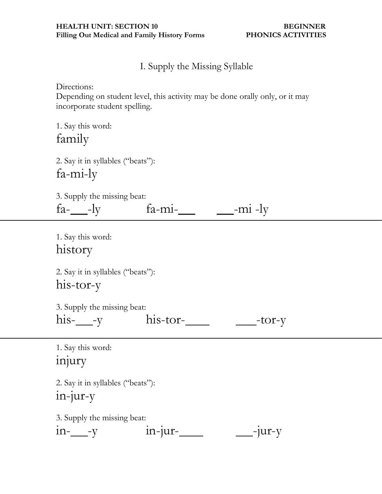I. Supply the Missing Syllable

Directions:

Depending on student level, this activity may be done orally only, or it may incorporate student spelling.

| 1. Say this word: |  |
|-------------------|--|
| family            |  |

2. Say it in syllables ("beats"): fa-mi-ly

|  |  |  | 3. Supply the missing beat: |  |
|--|--|--|-----------------------------|--|
|--|--|--|-----------------------------|--|

fa-\_\_\_\_-ly fa-mi-\_\_\_ \_\_\_-mi -ly

1. Say this word: history

2. Say it in syllables ("beats"): his-tor-y

3. Supply the missing beat:

| ٠ |  |
|---|--|
| ٦ |  |

| $h1S$ | his-tor- | $-tor-v$ |
|-------|----------|----------|
|-------|----------|----------|

1. Say this word: injury

2. Say it in syllables ("beats"): in-jur-y

3. Supply the missing beat:

| $1n - V$ | $1n$ - $1ur$ - | ___-jur-y |
|----------|----------------|-----------|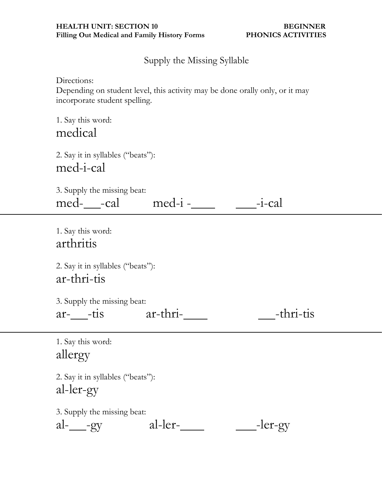Supply the Missing Syllable

Directions:

Depending on student level, this activity may be done orally only, or it may incorporate student spelling.

1. Say this word: medical

2. Say it in syllables ("beats"): med-i-cal

| 3. Supply the missing beat: |         |           |
|-----------------------------|---------|-----------|
| med- -cal                   | med-i - | $-i$ -cal |

1. Say this word: arthritis

2. Say it in syllables ("beats"): ar-thri-tis

3. Supply the missing beat:

| aт |  |
|----|--|
|    |  |

tis ar-thri- -thri-tis

1. Say this word: allergy

2. Say it in syllables ("beats"): al-ler-gy

3. Supply the missing beat:

 $al$ - $gy$   $al$ - $ler$ - $\qquad$  -ler-gy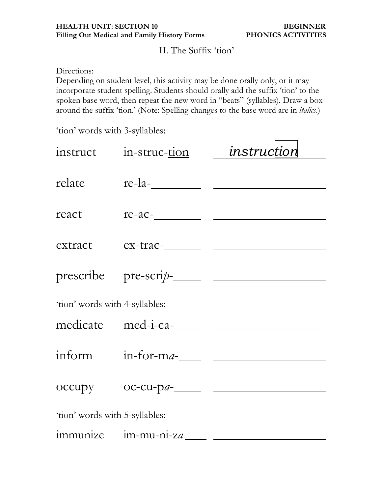## II. The Suffix "tion"

Directions:

Depending on student level, this activity may be done orally only, or it may incorporate student spelling. Students should orally add the suffix "tion" to the spoken base word, then repeat the new word in "beats" (syllables). Draw a box around the suffix "tion." (Note: Spelling changes to the base word are in *italics*.)

'tion' words with 3-syllables:

|                                | instruct in-struc-tion <i>instruction</i> |                                       |
|--------------------------------|-------------------------------------------|---------------------------------------|
| relate                         | $re$ -la- $\qquad \qquad$                 |                                       |
| react                          |                                           | $re-ac$ - $\qquad \qquad$             |
|                                |                                           | extract ex-trac-                      |
|                                |                                           |                                       |
| 'tion' words with 4-syllables: |                                           |                                       |
|                                |                                           |                                       |
|                                |                                           |                                       |
|                                |                                           | $occupy$ $oc-cu-pa$ - $\qquad \qquad$ |
| 'tion' words with 5-syllables: |                                           |                                       |
|                                | immunize im-mu-ni-za-                     |                                       |